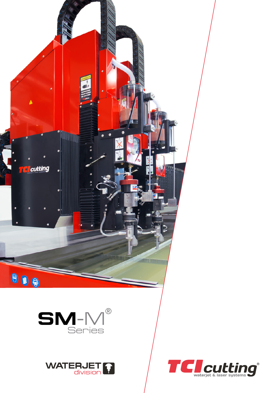

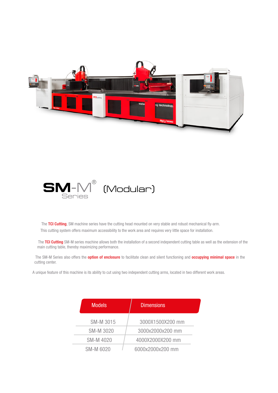



The TCI Cutting, SM machine series have the cutting head mounted on very stable and robust mechanical fly-arm. This cutting system offers maximum accessibility to the work area and requires very little space for installation.

The TCI Cutting SM-M series machine allows both the installation of a second independent cutting table as well as the extension of the main cutting table, thereby maximizing performance.

The SM-M Series also offers the **option of enclosure** to facilitate clean and silent functioning and **occupying minimal space** in the cutting center.

A unique feature of this machine is its ability to cut using two independent cutting arms, located in two different work areas.

| <b>Models</b>    | <b>Dimensions</b> |  |
|------------------|-------------------|--|
| SM-M 3015        | 3000X1500X200 mm  |  |
| <b>SM-M 3020</b> | 3000x2000x200 mm  |  |
| <b>SM-M4020</b>  | 4000X2000X200 mm  |  |
| SM-M 6020        | 6000x2000x200 mm  |  |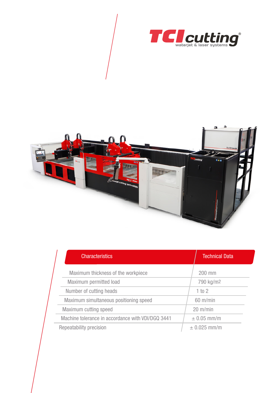



| <b>Characteristics</b>                            |  | <b>Technical Data</b> |  |
|---------------------------------------------------|--|-----------------------|--|
| Maximum thickness of the workpiece                |  | 200 mm                |  |
| Maximum permitted load                            |  | 790 kg/m <sup>2</sup> |  |
| Number of cutting heads                           |  | 1 to 2                |  |
| Maximum simultaneous positioning speed            |  | $60 \text{ m/min}$    |  |
| Maximum cutting speed                             |  | $20 \text{ m/min}$    |  |
| Machine tolerance in accordance with VDI/DGQ 3441 |  | $\pm$ 0.05 mm/m       |  |
| Repeatability precision                           |  | $\pm$ 0.025 mm/m      |  |